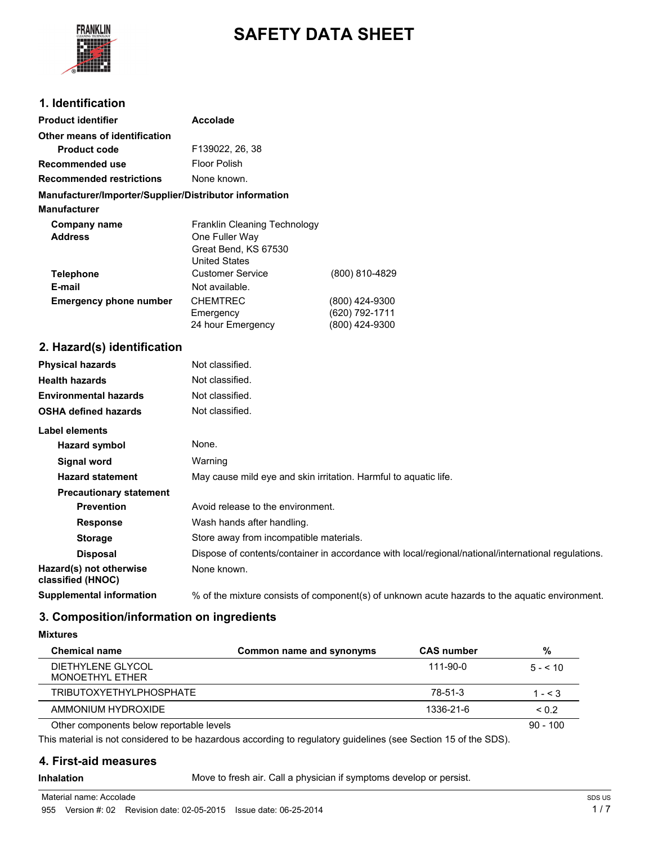

# **SAFETY DATA SHEET**

### **1. Identification**

| <b>Product identifier</b>                              | <b>Accolade</b>                                                                                     |                |
|--------------------------------------------------------|-----------------------------------------------------------------------------------------------------|----------------|
| Other means of identification                          |                                                                                                     |                |
| <b>Product code</b>                                    | F139022, 26, 38                                                                                     |                |
| <b>Recommended use</b>                                 | Floor Polish                                                                                        |                |
| <b>Recommended restrictions</b>                        | None known.                                                                                         |                |
| Manufacturer/Importer/Supplier/Distributor information |                                                                                                     |                |
| <b>Manufacturer</b>                                    |                                                                                                     |                |
| Company name                                           | Franklin Cleaning Technology                                                                        |                |
| <b>Address</b>                                         | One Fuller Way                                                                                      |                |
|                                                        | Great Bend, KS 67530<br><b>United States</b>                                                        |                |
| <b>Telephone</b>                                       | <b>Customer Service</b>                                                                             | (800) 810-4829 |
| E-mail                                                 | Not available.                                                                                      |                |
| <b>Emergency phone number</b>                          | <b>CHEMTREC</b>                                                                                     | (800) 424-9300 |
|                                                        | Emergency                                                                                           | (620) 792-1711 |
|                                                        | 24 hour Emergency                                                                                   | (800) 424-9300 |
| 2. Hazard(s) identification                            |                                                                                                     |                |
| <b>Physical hazards</b>                                | Not classified.                                                                                     |                |
| <b>Health hazards</b>                                  | Not classified.                                                                                     |                |
| <b>Environmental hazards</b>                           | Not classified.                                                                                     |                |
| <b>OSHA defined hazards</b>                            | Not classified.                                                                                     |                |
| <b>Label elements</b>                                  |                                                                                                     |                |
| <b>Hazard symbol</b>                                   | None.                                                                                               |                |
| <b>Signal word</b>                                     | Warning                                                                                             |                |
| <b>Hazard statement</b>                                | May cause mild eye and skin irritation. Harmful to aquatic life.                                    |                |
| <b>Precautionary statement</b>                         |                                                                                                     |                |
| <b>Prevention</b>                                      | Avoid release to the environment.                                                                   |                |
| <b>Response</b>                                        | Wash hands after handling.                                                                          |                |
| <b>Storage</b>                                         | Store away from incompatible materials.                                                             |                |
| <b>Disposal</b>                                        | Dispose of contents/container in accordance with local/regional/national/international regulations. |                |
| Hazard(s) not otherwise<br>classified (HNOC)           | None known.                                                                                         |                |
| <b>Supplemental information</b>                        | % of the mixture consists of component(s) of unknown acute hazards to the aquatic environment.      |                |

# **3. Composition/information on ingredients**

**Mixtures**

| <b>Chemical name</b>                     | Common name and synonyms | <b>CAS number</b> | %            |
|------------------------------------------|--------------------------|-------------------|--------------|
| DIETHYLENE GLYCOL<br>MONOETHYL ETHER     |                          | 111-90-0          | $5 - 5 = 10$ |
| <b>TRIBUTOXYETHYLPHOSPHATE</b>           |                          | 78-51-3           | $1 - 5.3$    |
| AMMONIUM HYDROXIDE                       |                          | 1336-21-6         | < 0.2        |
| Other components below reportable levels |                          |                   | $90 - 100$   |

This material is not considered to be hazardous according to regulatory guidelines (see Section 15 of the SDS).

### **4. First-aid measures**

**Inhalation** Move to fresh air. Call a physician if symptoms develop or persist.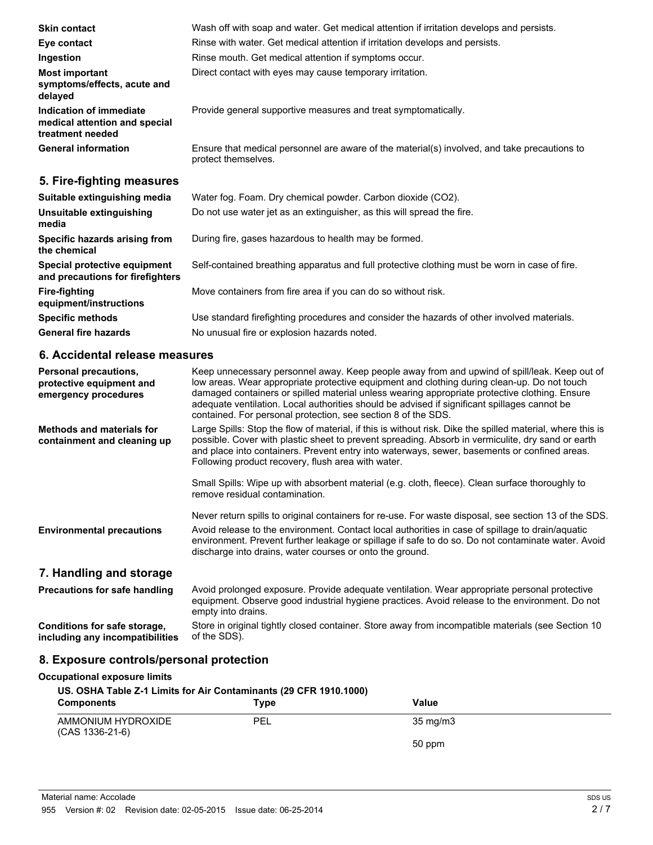| <b>Skin contact</b>                                                          | Wash off with soap and water. Get medical attention if irritation develops and persists.                            |  |  |
|------------------------------------------------------------------------------|---------------------------------------------------------------------------------------------------------------------|--|--|
| Eye contact                                                                  | Rinse with water. Get medical attention if irritation develops and persists.                                        |  |  |
| Ingestion                                                                    | Rinse mouth. Get medical attention if symptoms occur.                                                               |  |  |
| <b>Most important</b><br>symptoms/effects, acute and<br>delayed              | Direct contact with eyes may cause temporary irritation.                                                            |  |  |
| Indication of immediate<br>medical attention and special<br>treatment needed | Provide general supportive measures and treat symptomatically.                                                      |  |  |
| <b>General information</b>                                                   | Ensure that medical personnel are aware of the material(s) involved, and take precautions to<br>protect themselves. |  |  |
| 5. Fire-fighting measures                                                    |                                                                                                                     |  |  |
| Suitable extinguishing media                                                 | Water fog. Foam. Dry chemical powder. Carbon dioxide (CO2).                                                         |  |  |
| Unsuitable extinguishing<br>media                                            | Do not use water jet as an extinguisher, as this will spread the fire.                                              |  |  |
| Specific hazards arising from<br>the chemical                                | During fire, gases hazardous to health may be formed.                                                               |  |  |
| Special protective equipment<br>and precautions for firefighters             | Self-contained breathing apparatus and full protective clothing must be worn in case of fire.                       |  |  |

Move containers from fire area if you can do so without risk.

**Specific methods** Use standard firefighting procedures and consider the hazards of other involved materials. General fire hazards **No unusual fire or explosion hazards noted.** 

### **6. Accidental release measures**

**Fire-fighting**

**equipment/instructions**

| Personal precautions,<br>protective equipment and<br>emergency procedures | Keep unnecessary personnel away. Keep people away from and upwind of spill/leak. Keep out of<br>low areas. Wear appropriate protective equipment and clothing during clean-up. Do not touch<br>damaged containers or spilled material unless wearing appropriate protective clothing. Ensure<br>adequate ventilation. Local authorities should be advised if significant spillages cannot be<br>contained. For personal protection, see section 8 of the SDS. |
|---------------------------------------------------------------------------|---------------------------------------------------------------------------------------------------------------------------------------------------------------------------------------------------------------------------------------------------------------------------------------------------------------------------------------------------------------------------------------------------------------------------------------------------------------|
| <b>Methods and materials for</b><br>containment and cleaning up           | Large Spills: Stop the flow of material, if this is without risk. Dike the spilled material, where this is<br>possible. Cover with plastic sheet to prevent spreading. Absorb in vermiculite, dry sand or earth<br>and place into containers. Prevent entry into waterways, sewer, basements or confined areas.<br>Following product recovery, flush area with water.                                                                                         |
|                                                                           | Small Spills: Wipe up with absorbent material (e.g. cloth, fleece). Clean surface thoroughly to<br>remove residual contamination.                                                                                                                                                                                                                                                                                                                             |
| <b>Environmental precautions</b>                                          | Never return spills to original containers for re-use. For waste disposal, see section 13 of the SDS.<br>Avoid release to the environment. Contact local authorities in case of spillage to drain/aquatic<br>environment. Prevent further leakage or spillage if safe to do so. Do not contaminate water. Avoid<br>discharge into drains, water courses or onto the ground.                                                                                   |
| 7. Handling and storage                                                   |                                                                                                                                                                                                                                                                                                                                                                                                                                                               |
| <b>Precautions for safe handling</b>                                      | Avoid prolonged exposure. Provide adequate ventilation. Wear appropriate personal protective<br>equipment. Observe good industrial hygiene practices. Avoid release to the environment. Do not<br>empty into drains.                                                                                                                                                                                                                                          |
| Conditions for safe storage,<br>including any incompatibilities           | Store in original tightly closed container. Store away from incompatible materials (see Section 10<br>of the SDS).                                                                                                                                                                                                                                                                                                                                            |

# **8. Exposure controls/personal protection**

| Occupational exposure limits<br>US. OSHA Table Z-1 Limits for Air Contaminants (29 CFR 1910.1000) |      |                   |
|---------------------------------------------------------------------------------------------------|------|-------------------|
| <b>Components</b>                                                                                 | Type | Value             |
| AMMONIUM HYDROXIDE<br>$(CAS 1336-21-6)$                                                           | PEL  | $35 \text{ mg/m}$ |
|                                                                                                   |      | 50 ppm            |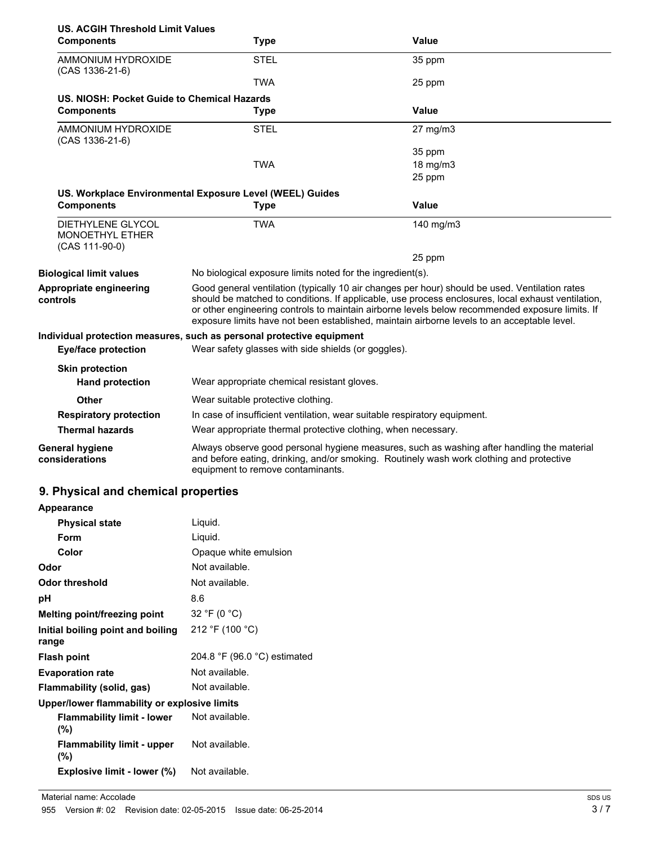|                                                                                   | <b>US. ACGIH Threshold Limit Values</b>                                                                                                                                                                                     |                                                                                                                                                                                                                                                                                                                                                                                                        |  |
|-----------------------------------------------------------------------------------|-----------------------------------------------------------------------------------------------------------------------------------------------------------------------------------------------------------------------------|--------------------------------------------------------------------------------------------------------------------------------------------------------------------------------------------------------------------------------------------------------------------------------------------------------------------------------------------------------------------------------------------------------|--|
| <b>Components</b>                                                                 | Type                                                                                                                                                                                                                        | Value                                                                                                                                                                                                                                                                                                                                                                                                  |  |
| AMMONIUM HYDROXIDE<br>$(CAS 1336-21-6)$                                           | <b>STEL</b>                                                                                                                                                                                                                 | 35 ppm                                                                                                                                                                                                                                                                                                                                                                                                 |  |
|                                                                                   | <b>TWA</b>                                                                                                                                                                                                                  | 25 ppm                                                                                                                                                                                                                                                                                                                                                                                                 |  |
| US. NIOSH: Pocket Guide to Chemical Hazards                                       |                                                                                                                                                                                                                             |                                                                                                                                                                                                                                                                                                                                                                                                        |  |
| <b>Components</b>                                                                 | <b>Type</b>                                                                                                                                                                                                                 | Value                                                                                                                                                                                                                                                                                                                                                                                                  |  |
| AMMONIUM HYDROXIDE<br>$(CAS 1336-21-6)$                                           | <b>STEL</b>                                                                                                                                                                                                                 | 27 mg/m3                                                                                                                                                                                                                                                                                                                                                                                               |  |
|                                                                                   |                                                                                                                                                                                                                             | 35 ppm                                                                                                                                                                                                                                                                                                                                                                                                 |  |
|                                                                                   | <b>TWA</b>                                                                                                                                                                                                                  | $18 \text{ mg/m}$                                                                                                                                                                                                                                                                                                                                                                                      |  |
|                                                                                   |                                                                                                                                                                                                                             | 25 ppm                                                                                                                                                                                                                                                                                                                                                                                                 |  |
|                                                                                   | US. Workplace Environmental Exposure Level (WEEL) Guides                                                                                                                                                                    |                                                                                                                                                                                                                                                                                                                                                                                                        |  |
| <b>Components</b>                                                                 | <b>Type</b>                                                                                                                                                                                                                 | Value                                                                                                                                                                                                                                                                                                                                                                                                  |  |
| <b>DIETHYLENE GLYCOL</b><br><b>MONOETHYL ETHER</b><br>(CAS 111-90-0)              | <b>TWA</b>                                                                                                                                                                                                                  | 140 mg/m3                                                                                                                                                                                                                                                                                                                                                                                              |  |
|                                                                                   |                                                                                                                                                                                                                             | 25 ppm                                                                                                                                                                                                                                                                                                                                                                                                 |  |
| <b>Biological limit values</b>                                                    | No biological exposure limits noted for the ingredient(s).                                                                                                                                                                  |                                                                                                                                                                                                                                                                                                                                                                                                        |  |
| Appropriate engineering<br>controls                                               |                                                                                                                                                                                                                             | Good general ventilation (typically 10 air changes per hour) should be used. Ventilation rates<br>should be matched to conditions. If applicable, use process enclosures, local exhaust ventilation,<br>or other engineering controls to maintain airborne levels below recommended exposure limits. If<br>exposure limits have not been established, maintain airborne levels to an acceptable level. |  |
|                                                                                   | Individual protection measures, such as personal protective equipment                                                                                                                                                       |                                                                                                                                                                                                                                                                                                                                                                                                        |  |
| Wear safety glasses with side shields (or goggles).<br><b>Eye/face protection</b> |                                                                                                                                                                                                                             |                                                                                                                                                                                                                                                                                                                                                                                                        |  |
| <b>Skin protection</b>                                                            |                                                                                                                                                                                                                             |                                                                                                                                                                                                                                                                                                                                                                                                        |  |
| <b>Hand protection</b>                                                            | Wear appropriate chemical resistant gloves.                                                                                                                                                                                 |                                                                                                                                                                                                                                                                                                                                                                                                        |  |
| Other                                                                             | Wear suitable protective clothing.                                                                                                                                                                                          |                                                                                                                                                                                                                                                                                                                                                                                                        |  |
| <b>Respiratory protection</b>                                                     | In case of insufficient ventilation, wear suitable respiratory equipment.                                                                                                                                                   |                                                                                                                                                                                                                                                                                                                                                                                                        |  |
| <b>Thermal hazards</b>                                                            | Wear appropriate thermal protective clothing, when necessary.                                                                                                                                                               |                                                                                                                                                                                                                                                                                                                                                                                                        |  |
| <b>General hygiene</b><br>considerations                                          | Always observe good personal hygiene measures, such as washing after handling the material<br>and before eating, drinking, and/or smoking. Routinely wash work clothing and protective<br>equipment to remove contaminants. |                                                                                                                                                                                                                                                                                                                                                                                                        |  |

# **9. Physical and chemical properties**

| <b>Appearance</b>                            |                              |
|----------------------------------------------|------------------------------|
| <b>Physical state</b>                        | Liquid.                      |
| Form                                         | Liquid.                      |
| Color                                        | Opaque white emulsion        |
| Odor                                         | Not available.               |
| <b>Odor threshold</b>                        | Not available.               |
| рH                                           | 8.6                          |
| Melting point/freezing point                 | 32 °F (0 $^{\circ}$ C)       |
| Initial boiling point and boiling<br>range   | 212 °F (100 °C)              |
| <b>Flash point</b>                           | 204.8 °F (96.0 °C) estimated |
| <b>Evaporation rate</b>                      | Not available.               |
| Flammability (solid, gas)                    | Not available.               |
| Upper/lower flammability or explosive limits |                              |
| <b>Flammability limit - lower</b><br>$(\%)$  | Not available.               |
| <b>Flammability limit - upper</b><br>(%)     | Not available.               |
| Explosive limit - lower (%)                  | Not available.               |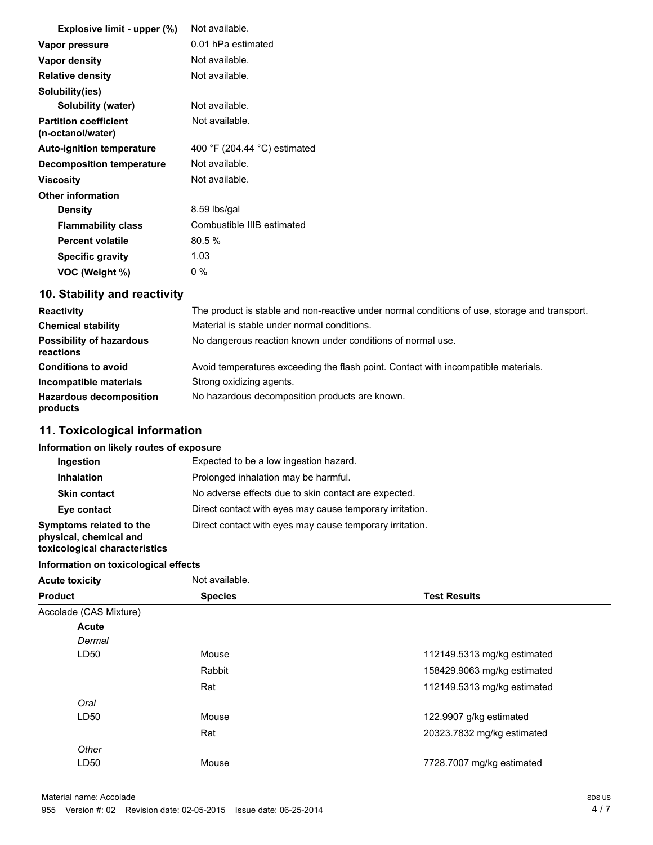| Explosive limit - upper (%)                       | Not available.               |
|---------------------------------------------------|------------------------------|
| Vapor pressure                                    | 0.01 hPa estimated           |
| Vapor density                                     | Not available.               |
| <b>Relative density</b>                           | Not available.               |
| Solubility(ies)                                   |                              |
| Solubility (water)                                | Not available.               |
| <b>Partition coefficient</b><br>(n-octanol/water) | Not available.               |
| <b>Auto-ignition temperature</b>                  | 400 °F (204.44 °C) estimated |
| <b>Decomposition temperature</b>                  | Not available.               |
| <b>Viscosity</b>                                  | Not available.               |
| <b>Other information</b>                          |                              |
| <b>Density</b>                                    | 8.59 lbs/gal                 |
| <b>Flammability class</b>                         | Combustible IIIB estimated   |
| <b>Percent volatile</b>                           | 80.5%                        |
| <b>Specific gravity</b>                           | 1.03                         |
| VOC (Weight %)                                    | $0\%$                        |

# **10. Stability and reactivity**

| <b>Reactivity</b>                            | The product is stable and non-reactive under normal conditions of use, storage and transport. |
|----------------------------------------------|-----------------------------------------------------------------------------------------------|
| <b>Chemical stability</b>                    | Material is stable under normal conditions.                                                   |
| <b>Possibility of hazardous</b><br>reactions | No dangerous reaction known under conditions of normal use.                                   |
| <b>Conditions to avoid</b>                   | Avoid temperatures exceeding the flash point. Contact with incompatible materials.            |
| Incompatible materials                       | Strong oxidizing agents.                                                                      |
| <b>Hazardous decomposition</b><br>products   | No hazardous decomposition products are known.                                                |

# **11. Toxicological information**

## **Information on likely routes of exposure**

| Ingestion                                                                          | Expected to be a low ingestion hazard.                   |
|------------------------------------------------------------------------------------|----------------------------------------------------------|
| <b>Inhalation</b>                                                                  | Prolonged inhalation may be harmful.                     |
| <b>Skin contact</b>                                                                | No adverse effects due to skin contact are expected.     |
| Eye contact                                                                        | Direct contact with eyes may cause temporary irritation. |
| Symptoms related to the<br>physical, chemical and<br>toxicological characteristics | Direct contact with eyes may cause temporary irritation. |

#### **Information on toxicological effects**

| <b>Acute toxicity</b>  | Not available. |                             |
|------------------------|----------------|-----------------------------|
| <b>Product</b>         | <b>Species</b> | <b>Test Results</b>         |
| Accolade (CAS Mixture) |                |                             |
| Acute                  |                |                             |
| Dermal                 |                |                             |
| LD50                   | Mouse          | 112149.5313 mg/kg estimated |
|                        | Rabbit         | 158429.9063 mg/kg estimated |
|                        | Rat            | 112149.5313 mg/kg estimated |
| Oral                   |                |                             |
| LD50                   | Mouse          | 122.9907 g/kg estimated     |
|                        | Rat            | 20323.7832 mg/kg estimated  |
| Other                  |                |                             |
| LD50                   | Mouse          | 7728.7007 mg/kg estimated   |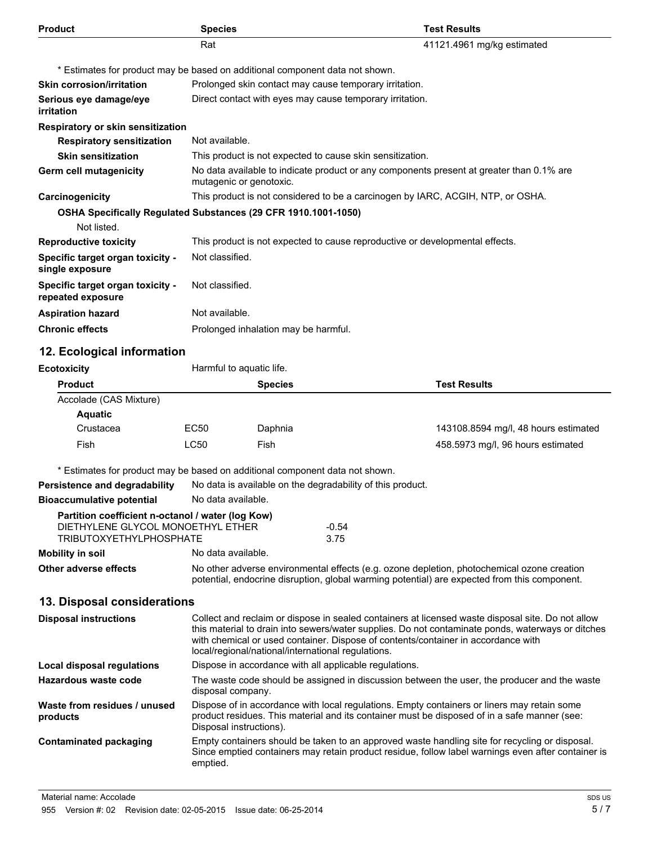| <b>Product</b>                                                                | <b>Species</b>                                                               |                                                                                          | <b>Test Results</b>                  |  |
|-------------------------------------------------------------------------------|------------------------------------------------------------------------------|------------------------------------------------------------------------------------------|--------------------------------------|--|
|                                                                               | Rat                                                                          |                                                                                          | 41121.4961 mg/kg estimated           |  |
|                                                                               |                                                                              | * Estimates for product may be based on additional component data not shown.             |                                      |  |
| <b>Skin corrosion/irritation</b>                                              | Prolonged skin contact may cause temporary irritation.                       |                                                                                          |                                      |  |
| Serious eye damage/eye<br>irritation                                          |                                                                              | Direct contact with eyes may cause temporary irritation.                                 |                                      |  |
| Respiratory or skin sensitization                                             |                                                                              |                                                                                          |                                      |  |
| <b>Respiratory sensitization</b>                                              | Not available.                                                               |                                                                                          |                                      |  |
| <b>Skin sensitization</b>                                                     |                                                                              | This product is not expected to cause skin sensitization.                                |                                      |  |
| <b>Germ cell mutagenicity</b>                                                 | mutagenic or genotoxic.                                                      | No data available to indicate product or any components present at greater than 0.1% are |                                      |  |
| Carcinogenicity                                                               |                                                                              | This product is not considered to be a carcinogen by IARC, ACGIH, NTP, or OSHA.          |                                      |  |
| OSHA Specifically Regulated Substances (29 CFR 1910.1001-1050)<br>Not listed. |                                                                              |                                                                                          |                                      |  |
| <b>Reproductive toxicity</b>                                                  | This product is not expected to cause reproductive or developmental effects. |                                                                                          |                                      |  |
| Specific target organ toxicity -<br>single exposure                           | Not classified.                                                              |                                                                                          |                                      |  |
| Specific target organ toxicity -<br>repeated exposure                         | Not classified.                                                              |                                                                                          |                                      |  |
| <b>Aspiration hazard</b>                                                      | Not available.                                                               |                                                                                          |                                      |  |
| <b>Chronic effects</b>                                                        | Prolonged inhalation may be harmful.                                         |                                                                                          |                                      |  |
| 12. Ecological information                                                    |                                                                              |                                                                                          |                                      |  |
| <b>Ecotoxicity</b>                                                            | Harmful to aquatic life.                                                     |                                                                                          |                                      |  |
| <b>Product</b>                                                                |                                                                              | <b>Species</b>                                                                           | <b>Test Results</b>                  |  |
| Accolade (CAS Mixture)<br><b>Aquatic</b>                                      |                                                                              |                                                                                          |                                      |  |
| Crustacea                                                                     | <b>EC50</b>                                                                  | Daphnia                                                                                  | 143108.8594 mg/l, 48 hours estimated |  |
| Fish                                                                          | <b>LC50</b>                                                                  | Fish                                                                                     | 458.5973 mg/l, 96 hours estimated    |  |
|                                                                               |                                                                              | * Estimates for product may be based on additional component data not shown.             |                                      |  |
| Persistence and degradability                                                 | No data is available on the degradability of this product.                   |                                                                                          |                                      |  |
| <b>Bioaccumulative potential</b>                                              | No data available.                                                           |                                                                                          |                                      |  |

|                                   | Partition coefficient n-octanol / water (log Kow) |                                                                                            |  |
|-----------------------------------|---------------------------------------------------|--------------------------------------------------------------------------------------------|--|
| DIETHYLENE GLYCOL MONOETHYL ETHER |                                                   | $-0.54$                                                                                    |  |
| TRIBUTOXYETHYLPHOSPHATE           |                                                   | 3.75                                                                                       |  |
| Mobility in soil                  | No data available.                                |                                                                                            |  |
| Other adverse effects             |                                                   | No other adverse environmental effects (e.g. ozone depletion, photochemical ozone creation |  |

# **13. Disposal considerations**

| <b>Disposal instructions</b>             | Collect and reclaim or dispose in sealed containers at licensed waste disposal site. Do not allow<br>this material to drain into sewers/water supplies. Do not contaminate ponds, waterways or ditches<br>with chemical or used container. Dispose of contents/container in accordance with<br>local/regional/national/international regulations. |
|------------------------------------------|---------------------------------------------------------------------------------------------------------------------------------------------------------------------------------------------------------------------------------------------------------------------------------------------------------------------------------------------------|
| Local disposal regulations               | Dispose in accordance with all applicable regulations.                                                                                                                                                                                                                                                                                            |
| Hazardous waste code                     | The waste code should be assigned in discussion between the user, the producer and the waste<br>disposal company.                                                                                                                                                                                                                                 |
| Waste from residues / unused<br>products | Dispose of in accordance with local regulations. Empty containers or liners may retain some<br>product residues. This material and its container must be disposed of in a safe manner (see:<br>Disposal instructions).                                                                                                                            |
| <b>Contaminated packaging</b>            | Empty containers should be taken to an approved waste handling site for recycling or disposal.<br>Since emptied containers may retain product residue, follow label warnings even after container is<br>emptied.                                                                                                                                  |

potential, endocrine disruption, global warming potential) are expected from this component.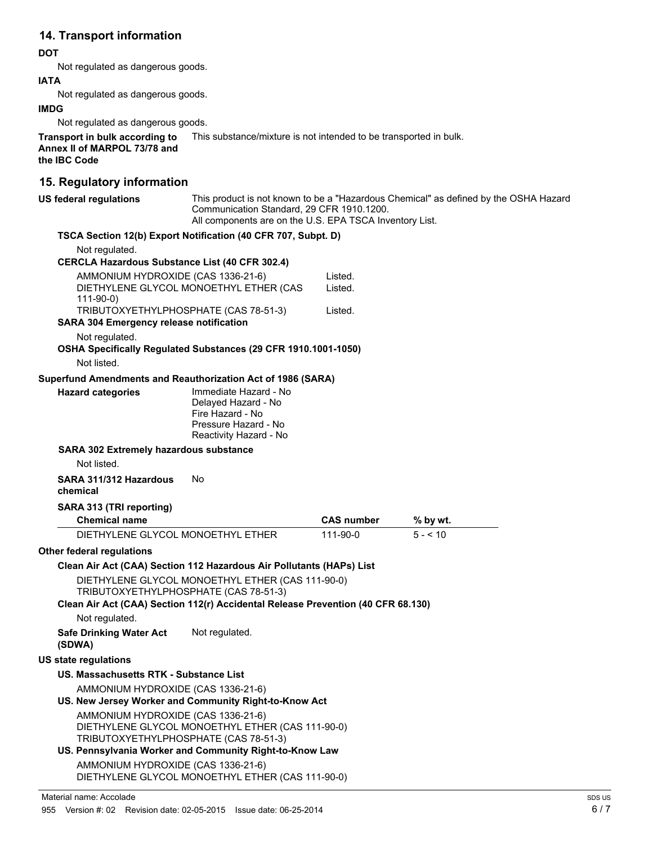## **14. Transport information**

#### **DOT**

Not regulated as dangerous goods.

#### **IATA**

Not regulated as dangerous goods.

#### **IMDG**

Not regulated as dangerous goods.

**Transport in bulk according to** This substance/mixture is not intended to be transported in bulk. **Annex II of MARPOL 73/78 and the IBC Code**

### **15. Regulatory information**

| <b>US federal regulations</b>                                                                    | This product is not known to be a "Hazardous Chemical" as defined by the OSHA Hazard<br>Communication Standard, 29 CFR 1910.1200.<br>All components are on the U.S. EPA TSCA Inventory List. |                   |          |  |  |
|--------------------------------------------------------------------------------------------------|----------------------------------------------------------------------------------------------------------------------------------------------------------------------------------------------|-------------------|----------|--|--|
|                                                                                                  | TSCA Section 12(b) Export Notification (40 CFR 707, Subpt. D)                                                                                                                                |                   |          |  |  |
| Not regulated.                                                                                   |                                                                                                                                                                                              |                   |          |  |  |
| <b>CERCLA Hazardous Substance List (40 CFR 302.4)</b>                                            |                                                                                                                                                                                              |                   |          |  |  |
| AMMONIUM HYDROXIDE (CAS 1336-21-6)                                                               |                                                                                                                                                                                              | Listed.           |          |  |  |
| DIETHYLENE GLYCOL MONOETHYL ETHER (CAS                                                           |                                                                                                                                                                                              | Listed.           |          |  |  |
| $111-90-0$<br>TRIBUTOXYETHYLPHOSPHATE (CAS 78-51-3)                                              |                                                                                                                                                                                              | Listed.           |          |  |  |
| <b>SARA 304 Emergency release notification</b>                                                   |                                                                                                                                                                                              |                   |          |  |  |
| Not regulated.                                                                                   |                                                                                                                                                                                              |                   |          |  |  |
|                                                                                                  | OSHA Specifically Regulated Substances (29 CFR 1910.1001-1050)                                                                                                                               |                   |          |  |  |
| Not listed.                                                                                      |                                                                                                                                                                                              |                   |          |  |  |
|                                                                                                  | Superfund Amendments and Reauthorization Act of 1986 (SARA)                                                                                                                                  |                   |          |  |  |
| <b>Hazard categories</b>                                                                         | Immediate Hazard - No                                                                                                                                                                        |                   |          |  |  |
|                                                                                                  | Delayed Hazard - No                                                                                                                                                                          |                   |          |  |  |
|                                                                                                  | Fire Hazard - No<br>Pressure Hazard - No                                                                                                                                                     |                   |          |  |  |
|                                                                                                  | Reactivity Hazard - No                                                                                                                                                                       |                   |          |  |  |
| <b>SARA 302 Extremely hazardous substance</b>                                                    |                                                                                                                                                                                              |                   |          |  |  |
| Not listed.                                                                                      |                                                                                                                                                                                              |                   |          |  |  |
| SARA 311/312 Hazardous<br>chemical                                                               | No                                                                                                                                                                                           |                   |          |  |  |
| SARA 313 (TRI reporting)                                                                         |                                                                                                                                                                                              |                   |          |  |  |
| <b>Chemical name</b>                                                                             |                                                                                                                                                                                              | <b>CAS number</b> | % by wt. |  |  |
|                                                                                                  | DIETHYLENE GLYCOL MONOETHYL ETHER                                                                                                                                                            | 111-90-0          | $5 - 10$ |  |  |
| Other federal regulations                                                                        |                                                                                                                                                                                              |                   |          |  |  |
|                                                                                                  | Clean Air Act (CAA) Section 112 Hazardous Air Pollutants (HAPs) List                                                                                                                         |                   |          |  |  |
|                                                                                                  | DIETHYLENE GLYCOL MONOETHYL ETHER (CAS 111-90-0)                                                                                                                                             |                   |          |  |  |
|                                                                                                  | TRIBUTOXYETHYLPHOSPHATE (CAS 78-51-3)                                                                                                                                                        |                   |          |  |  |
|                                                                                                  | Clean Air Act (CAA) Section 112(r) Accidental Release Prevention (40 CFR 68.130)                                                                                                             |                   |          |  |  |
| Not regulated.                                                                                   |                                                                                                                                                                                              |                   |          |  |  |
| <b>Safe Drinking Water Act</b><br>(SDWA)                                                         | Not regulated.                                                                                                                                                                               |                   |          |  |  |
| <b>US state regulations</b>                                                                      |                                                                                                                                                                                              |                   |          |  |  |
| US. Massachusetts RTK - Substance List                                                           |                                                                                                                                                                                              |                   |          |  |  |
| AMMONIUM HYDROXIDE (CAS 1336-21-6)                                                               |                                                                                                                                                                                              |                   |          |  |  |
| US. New Jersey Worker and Community Right-to-Know Act                                            |                                                                                                                                                                                              |                   |          |  |  |
| AMMONIUM HYDROXIDE (CAS 1336-21-6)                                                               |                                                                                                                                                                                              |                   |          |  |  |
| DIETHYLENE GLYCOL MONOETHYL ETHER (CAS 111-90-0)                                                 |                                                                                                                                                                                              |                   |          |  |  |
| TRIBUTOXYETHYLPHOSPHATE (CAS 78-51-3)<br>US. Pennsylvania Worker and Community Right-to-Know Law |                                                                                                                                                                                              |                   |          |  |  |
| AMMONIUM HYDROXIDE (CAS 1336-21-6)                                                               |                                                                                                                                                                                              |                   |          |  |  |
| DIETHYLENE GLYCOL MONOETHYL ETHER (CAS 111-90-0)                                                 |                                                                                                                                                                                              |                   |          |  |  |
|                                                                                                  |                                                                                                                                                                                              |                   |          |  |  |